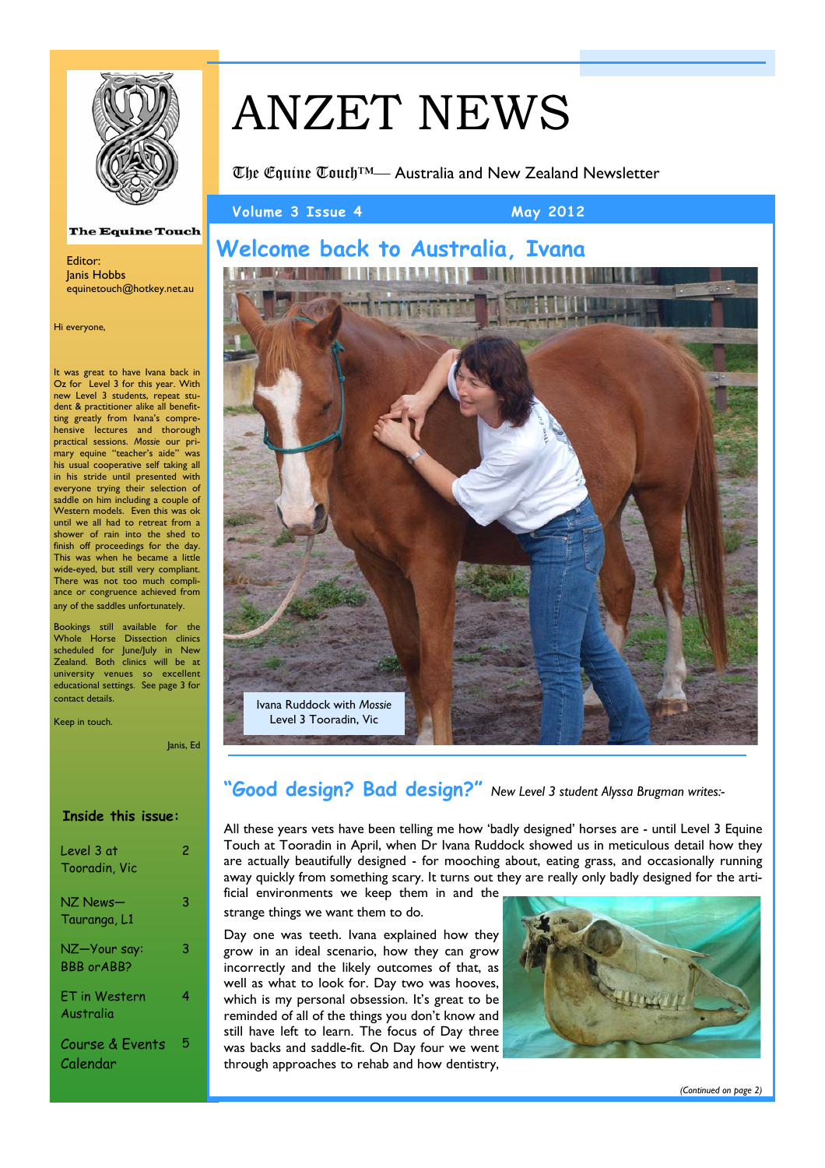

# ANZET NEWS

The Equine Touch™— Australia and New Zealand Newsletter

**Volume 3 Issue 4 May 2012** 

# **Welcome back to Australia, Ivana**

aman lihat pada a Ivana Ruddock with *Mossie*  Level 3 Tooradin, Vic

# **"Good design? Bad design?"** *New Level 3 student Alyssa Brugman writes:-*

All these years vets have been telling me how 'badly designed' horses are - until Level 3 Equine Touch at Tooradin in April, when Dr Ivana Ruddock showed us in meticulous detail how they are actually beautifully designed - for mooching about, eating grass, and occasionally running away quickly from something scary. It turns out they are really only badly designed for the artificial environments we keep them in and the

strange things we want them to do.

 Day one was teeth. Ivana explained how they grow in an ideal scenario, how they can grow incorrectly and the likely outcomes of that, as well as what to look for. Day two was hooves, which is my personal obsession. It's great to be reminded of all of the things you don't know and still have left to learn. The focus of Day three was backs and saddle-fit. On Day four we went through approaches to rehab and how dentistry,



### **The Equine Touch**

Editor: Janis Hobbs equinetouch@hotkey.net.au

Hi everyone,

It was great to have Ivana back in Oz for Level 3 for this year. With new Level 3 students, repeat student & practitioner alike all benefitting greatly from Ivana's comprehensive lectures and thorough practical sessions. *Mossie* our primary equine "teacher's aide" was his usual cooperative self taking all in his stride until presented with everyone trying their selection of saddle on him including a couple of Western models. Even this was ok until we all had to retreat from a shower of rain into the shed to finish off proceedings for the day. This was when he became a little wide-eyed, but still very compliant. There was not too much compliance or congruence achieved from any of the saddles unfortunately.

Bookings still available for the Whole Horse Dissection clinics scheduled for June/July in New Zealand. Both clinics will be at university venues so excellent educational settings. See page 3 for contact details.

Keep in touch.

Janis, Ed

### **Inside this issue:**

| Level 3 at<br>Tooradin, Vic        | 2 |
|------------------------------------|---|
| NZ News—<br>Tauranga, L1           | 3 |
| NZ-Your say:<br><b>BBB</b> or ABB? | 3 |
| ET in Western<br>Australia         | 4 |
| Course & Events<br>Calendar        | 5 |

*(Continued on page 2)*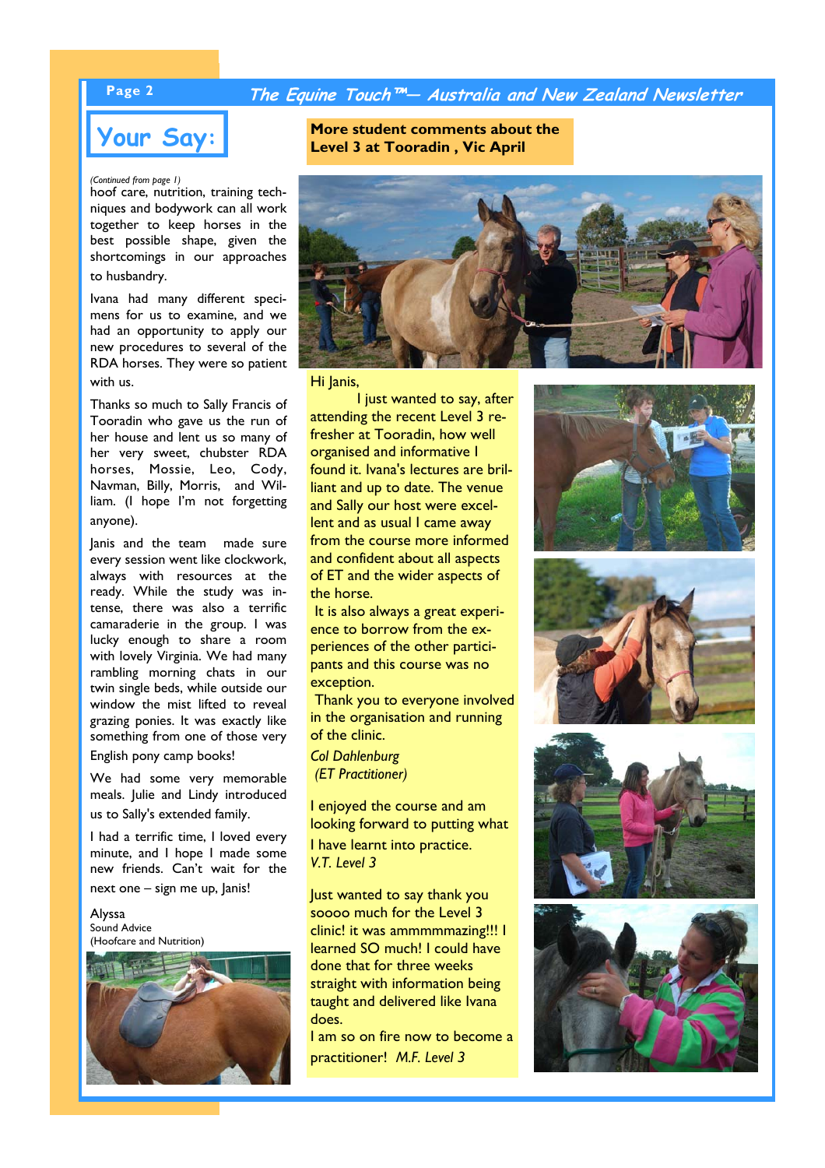## **Page 2 The Equine Touch™— Australia and New Zealand Newsletter**

### *(Continued from page 1)*

hoof care, nutrition, training techniques and bodywork can all work together to keep horses in the best possible shape, given the shortcomings in our approaches to husbandry.

 Ivana had many different specimens for us to examine, and we had an opportunity to apply our new procedures to several of the RDA horses. They were so patient with us.

 Thanks so much to Sally Francis of Tooradin who gave us the run of her house and lent us so many of her very sweet, chubster RDA horses, Mossie, Leo, Cody, Navman, Billy, Morris, and William. (I hope I'm not forgetting anyone).

 Janis and the team made sure every session went like clockwork, always with resources at the ready. While the study was intense, there was also a terrific camaraderie in the group. I was lucky enough to share a room with lovely Virginia. We had many rambling morning chats in our twin single beds, while outside our window the mist lifted to reveal grazing ponies. It was exactly like something from one of those very English pony camp books!

 We had some very memorable meals. Julie and Lindy introduced us to Sally's extended family.

 I had a terrific time, I loved every minute, and I hope I made some new friends. Can't wait for the next one – sign me up, Janis!

Alyssa Sound Advice (Hoofcare and Nutrition)



**Your Say: COVE SAY: Ref Level 3 at Tooradin . Vic April 2018** 



Hi lanis,

 I just wanted to say, after attending the recent Level 3 refresher at Tooradin, how well organised and informative I found it. Ivana's lectures are brilliant and up to date. The venue and Sally our host were excellent and as usual I came away from the course more informed and confident about all aspects of ET and the wider aspects of the horse.

 It is also always a great experience to borrow from the experiences of the other participants and this course was no exception.

 Thank you to everyone involved in the organisation and running of the clinic.

*Col Dahlenburg (ET Practitioner)* 

I enjoyed the course and am looking forward to putting what I have learnt into practice. *V.T. Level 3* 

Just wanted to say thank you soooo much for the Level 3 clinic! it was ammmmmazing!!! I learned SO much! I could have done that for three weeks straight with information being taught and delivered like Ivana does.

I am so on fire now to become a practitioner! *M.F. Level 3*







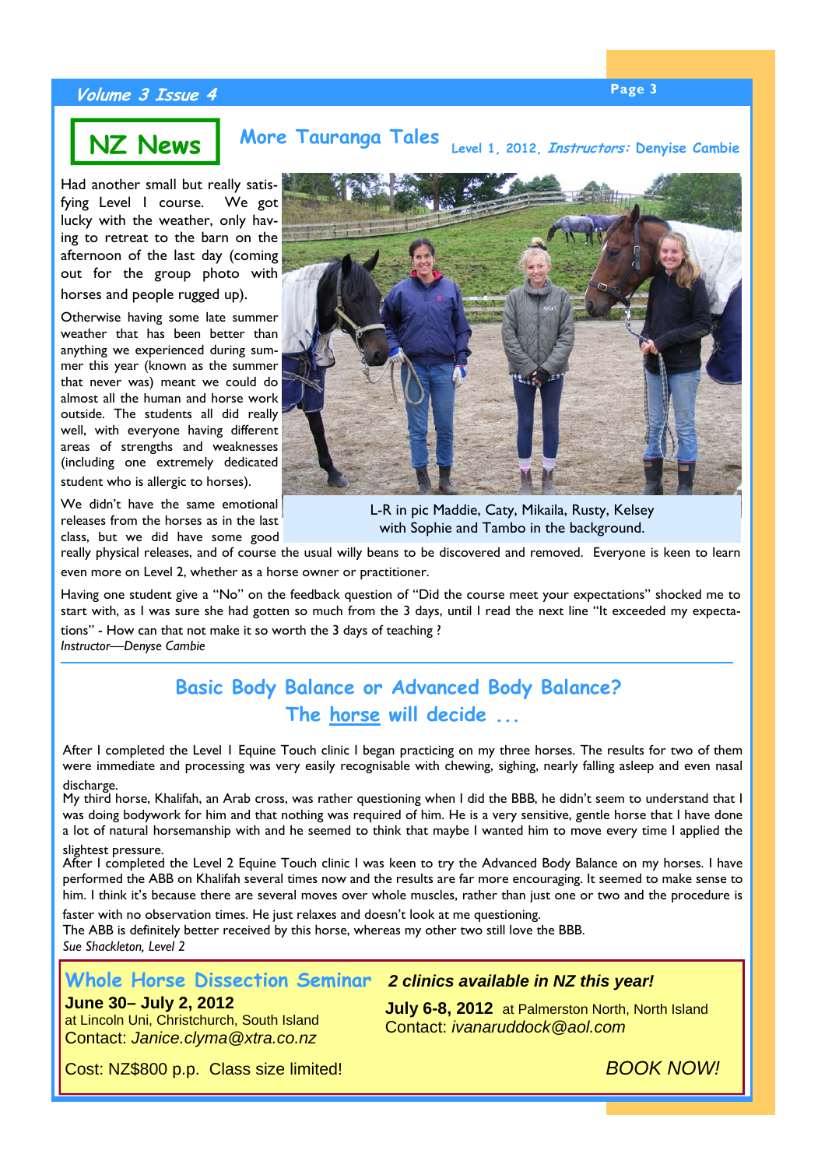# **Page 3 Volume 3 Issue 4**

### **NZ News More Tauranga Tales Level 1, 2012, Instructors: Denyise Cambie**

Had another small but really satisfying Level 1 course. We got lucky with the weather, only having to retreat to the barn on the afternoon of the last day (coming out for the group photo with horses and people rugged up).

Otherwise having some late summer weather that has been better than anything we experienced during summer this year (known as the summer that never was) meant we could do almost all the human and horse work outside. The students all did really well, with everyone having different areas of strengths and weaknesses (including one extremely dedicated student who is allergic to horses).

We didn't have the same emotional releases from the horses as in the last class, but we did have some good



L-R in pic Maddie, Caty, Mikaila, Rusty, Kelsey with Sophie and Tambo in the background.

really physical releases, and of course the usual willy beans to be discovered and removed. Everyone is keen to learn even more on Level 2, whether as a horse owner or practitioner.

Having one student give a "No" on the feedback question of "Did the course meet your expectations" shocked me to start with, as I was sure she had gotten so much from the 3 days, until I read the next line "It exceeded my expectations" - How can that not make it so worth the 3 days of teaching ? *Instructor—Denyse Cambie*

# **Basic Body Balance or Advanced Body Balance? The horse will decide ...**

After I completed the Level 1 Equine Touch clinic I began practicing on my three horses. The results for two of them were immediate and processing was very easily recognisable with chewing, sighing, nearly falling asleep and even nasal discharge.

My third horse, Khalifah, an Arab cross, was rather questioning when I did the BBB, he didn't seem to understand that I was doing bodywork for him and that nothing was required of him. He is a very sensitive, gentle horse that I have done a lot of natural horsemanship with and he seemed to think that maybe I wanted him to move every time I applied the

### slightest pressure.

After I completed the Level 2 Equine Touch clinic I was keen to try the Advanced Body Balance on my horses. I have performed the ABB on Khalifah several times now and the results are far more encouraging. It seemed to make sense to him. I think it's because there are several moves over whole muscles, rather than just one or two and the procedure is

faster with no observation times. He just relaxes and doesn't look at me questioning. The ABB is definitely better received by this horse, whereas my other two still love the BBB. *Sue Shackleton, Level 2* 

### **Whole Horse Dissection Seminar** *2 clinics available in NZ this year!*

### **June 30– July 2, 2012**

at Lincoln Uni, Christchurch, South Island Contact: *Janice.clyma@xtra.co.nz* 

**July 6-8, 2012** at Palmerston North, North Island Contact: *ivanaruddock@aol.com* 

Cost: NZ\$800 p.p. Class size limited! *BOOK NOW!*